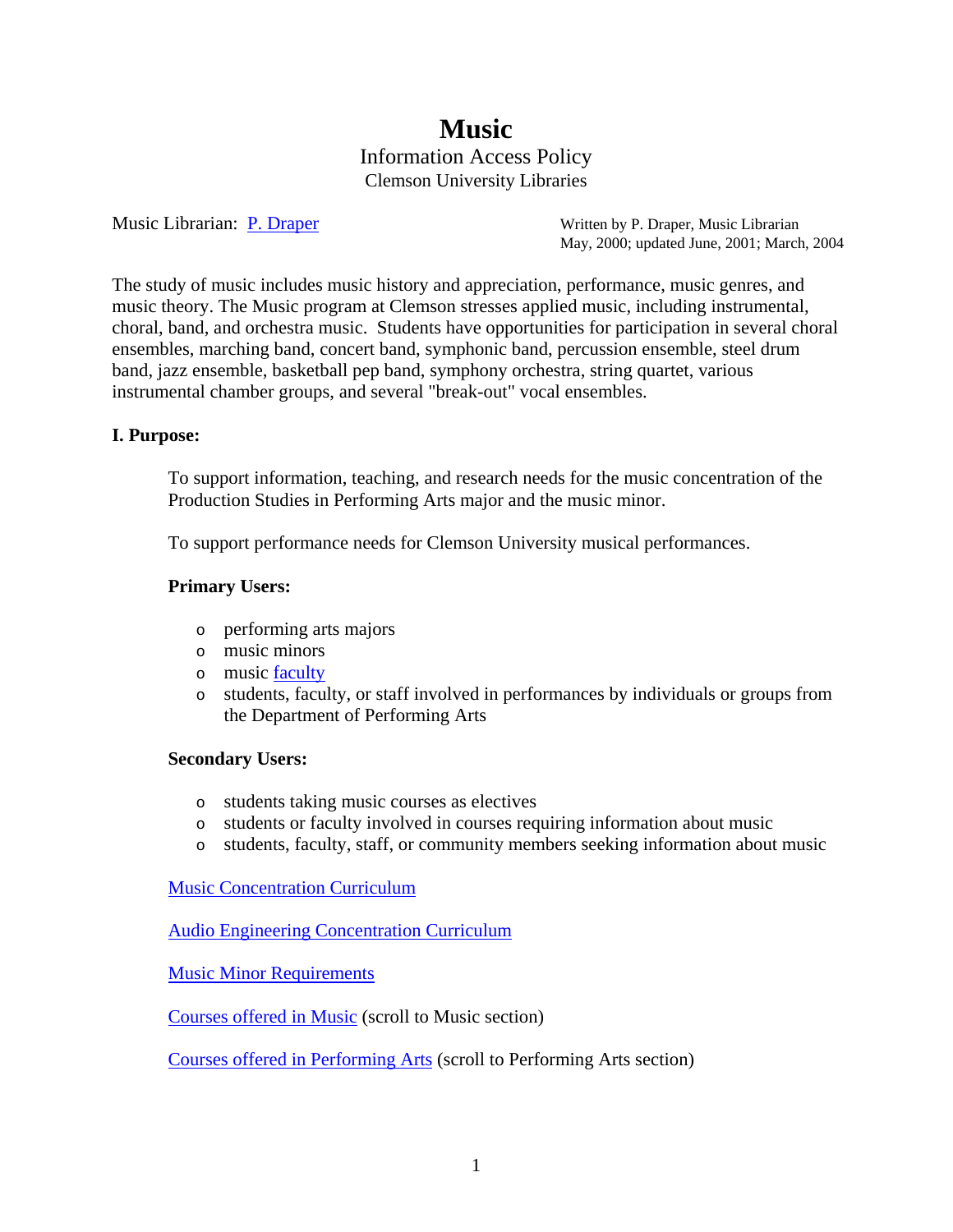# **Music** Information Access Policy Clemson University Libraries

Music Librarian: [P. Draper](mailto:pdraper@clemson.edu) Written by P. Draper, Music Librarian May, 2000; updated June, 2001; March, 2004

The study of music includes music history and appreciation, performance, music genres, and music theory. The Music program at Clemson stresses applied music, including instrumental, choral, band, and orchestra music. Students have opportunities for participation in several choral ensembles, marching band, concert band, symphonic band, percussion ensemble, steel drum band, jazz ensemble, basketball pep band, symphony orchestra, string quartet, various instrumental chamber groups, and several "break-out" vocal ensembles.

## **I. Purpose:**

To support information, teaching, and research needs for the music concentration of the Production Studies in Performing Arts major and the music minor.

To support performance needs for Clemson University musical performances.

## **Primary Users:**

- o performing arts majors
- o music minors
- o music [faculty](http://www.clemson.edu/PerfArts/faculty/index.php)
- o students, faculty, or staff involved in performances by individuals or groups from the Department of Performing Arts

#### **Secondary Users:**

- o students taking music courses as electives
- o students or faculty involved in courses requiring information about music
- o students, faculty, staff, or community members seeking information about music

[Music Concentration Curriculum](http://www.clemson.edu/Perf-Arts/academics/mapMusic.php)

[Audio Engineering Concentration Curriculum](http://www.clemson.edu/Perf-Arts/academics/audioeng.php)

[Music Minor Requirements](http://www.registrar.clemson.edu/publicat/catalog/2006_PDF/minors.pdf)

[Courses offered in Music](http://www.registrar.clemson.edu/publicat/catalog/2006_PDF/175_189LARCH_PKGSC.pdf) (scroll to Music section)

[Courses offered in Performing Arts](http://www.registrar.clemson.edu/publicat/catalog/2006_PDF/190_201PKGSC_READ.pdf) (scroll to Performing Arts section)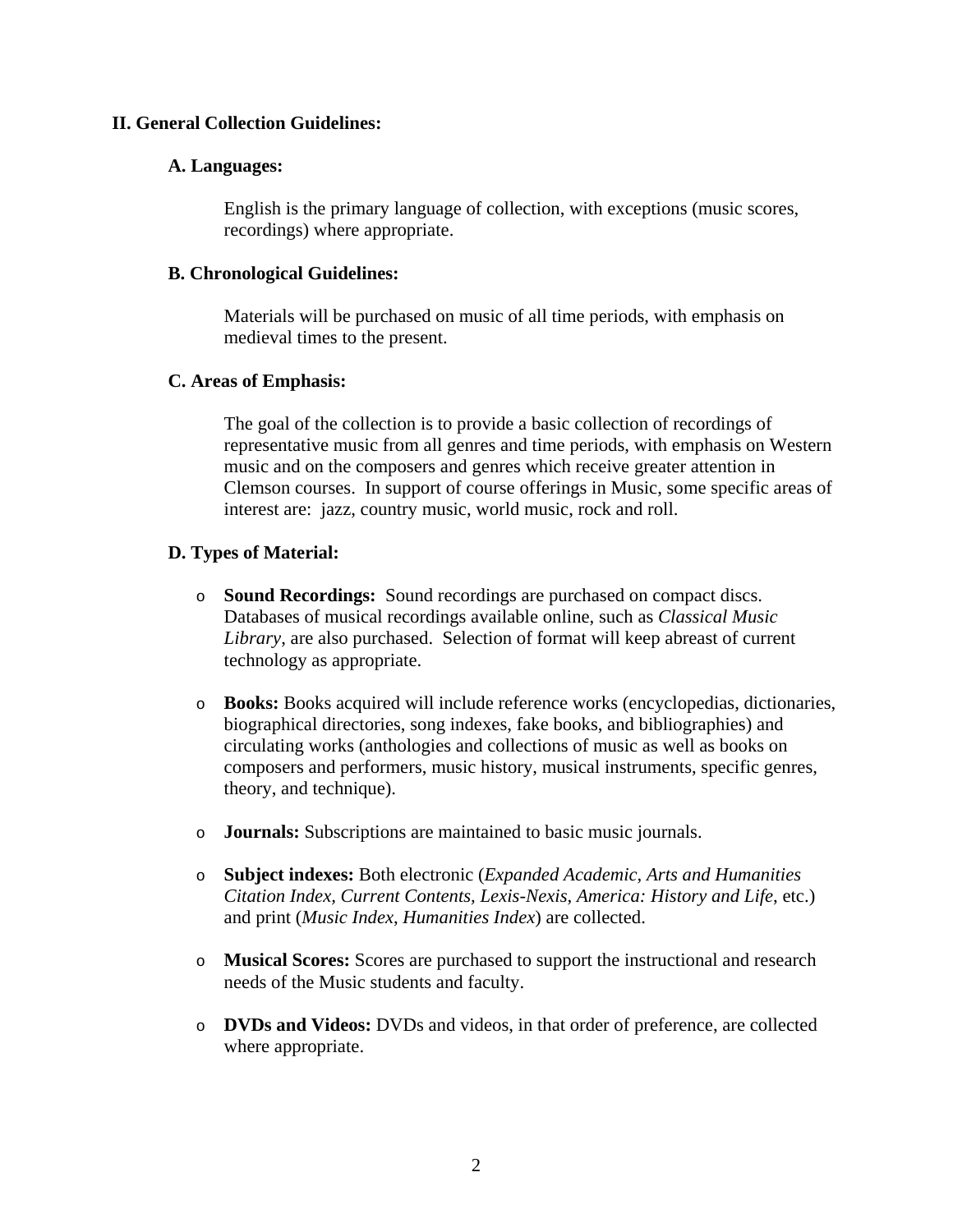## **II. General Collection Guidelines:**

#### **A. Languages:**

English is the primary language of collection, with exceptions (music scores, recordings) where appropriate.

#### **B. Chronological Guidelines:**

Materials will be purchased on music of all time periods, with emphasis on medieval times to the present.

#### **C. Areas of Emphasis:**

The goal of the collection is to provide a basic collection of recordings of representative music from all genres and time periods, with emphasis on Western music and on the composers and genres which receive greater attention in Clemson courses. In support of course offerings in Music, some specific areas of interest are: jazz, country music, world music, rock and roll.

## **D. Types of Material:**

- o **Sound Recordings:** Sound recordings are purchased on compact discs. Databases of musical recordings available online, such as *Classical Music Library*, are also purchased. Selection of format will keep abreast of current technology as appropriate.
- o **Books:** Books acquired will include reference works (encyclopedias, dictionaries, biographical directories, song indexes, fake books, and bibliographies) and circulating works (anthologies and collections of music as well as books on composers and performers, music history, musical instruments, specific genres, theory, and technique).
- o **Journals:** Subscriptions are maintained to basic music journals.
- o **Subject indexes:** Both electronic (*Expanded Academic, Arts and Humanities Citation Index, Current Contents, Lexis-Nexis, America: History and Life*, etc.) and print (*Music Index*, *Humanities Index*) are collected.
- o **Musical Scores:** Scores are purchased to support the instructional and research needs of the Music students and faculty.
- o **DVDs and Videos:** DVDs and videos, in that order of preference, are collected where appropriate.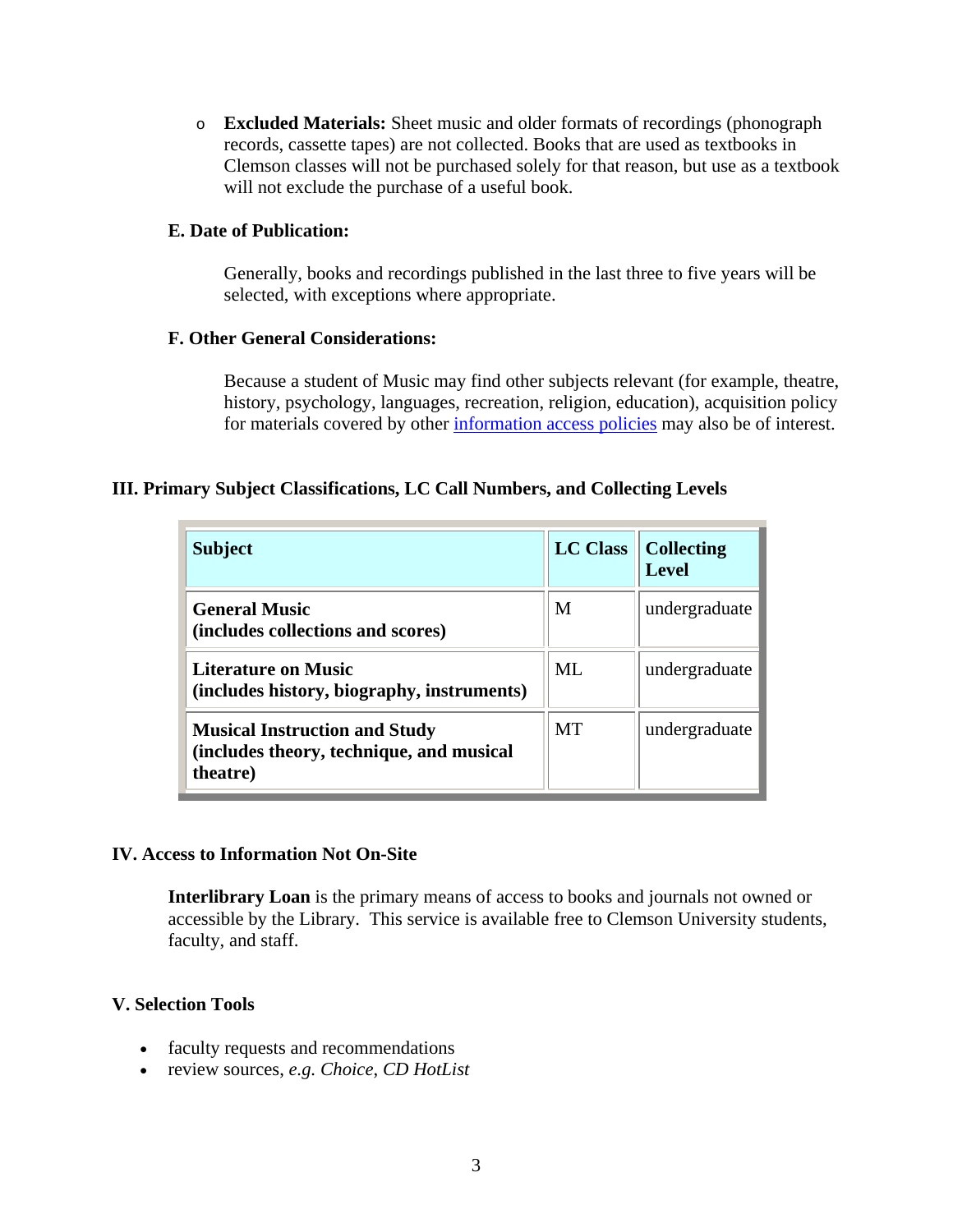o **Excluded Materials:** Sheet music and older formats of recordings (phonograph records, cassette tapes) are not collected. Books that are used as textbooks in Clemson classes will not be purchased solely for that reason, but use as a textbook will not exclude the purchase of a useful book.

## **E. Date of Publication:**

Generally, books and recordings published in the last three to five years will be selected, with exceptions where appropriate.

## **F. Other General Considerations:**

Because a student of Music may find other subjects relevant (for example, theatre, history, psychology, languages, recreation, religion, education), acquisition policy for materials covered by other [information access policies](http://www.lib.clemson.edu/aboutlib/infoaccess/index.htm) may also be of interest.

# **III. Primary Subject Classifications, LC Call Numbers, and Collecting Levels**

| <b>Subject</b>                                                                               | <b>LC Class</b> | <b>Collecting</b><br><b>Level</b> |
|----------------------------------------------------------------------------------------------|-----------------|-----------------------------------|
| <b>General Music</b><br>(includes collections and scores)                                    | M               | undergraduate                     |
| Literature on Music<br>(includes history, biography, instruments)                            | ML              | undergraduate                     |
| <b>Musical Instruction and Study</b><br>(includes theory, technique, and musical<br>theatre) | MT              | undergraduate                     |

# **IV. Access to Information Not On-Site**

**Interlibrary Loan** is the primary means of access to books and journals not owned or accessible by the Library. This service is available free to Clemson University students, faculty, and staff.

# **V. Selection Tools**

- faculty requests and recommendations
- review sources, *e.g. Choice*, *CD HotList*